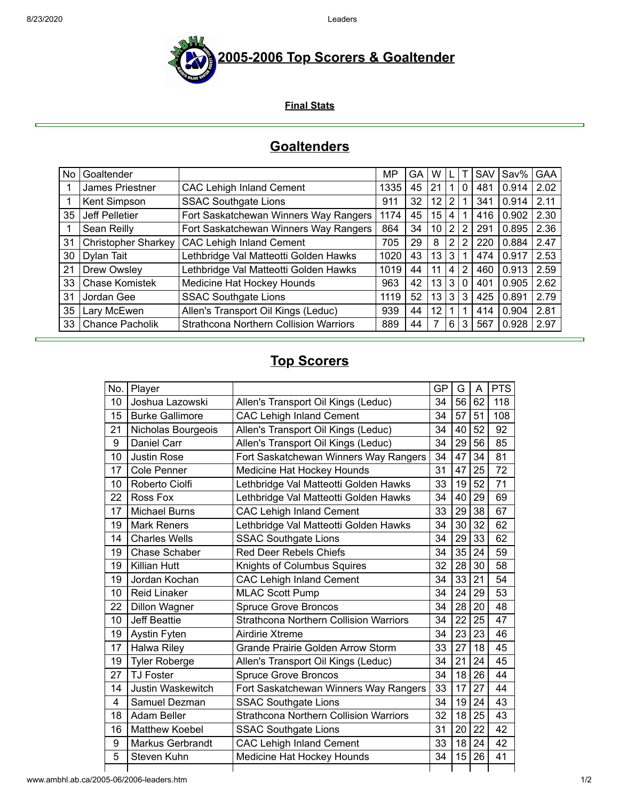

**Final Stats**

## **Goaltenders**

| No | Goaltender                 |                                               | MP   | GA | w  |                |   | <b>SAV</b> | Sav%  | GAA  |
|----|----------------------------|-----------------------------------------------|------|----|----|----------------|---|------------|-------|------|
|    | James Priestner            | <b>CAC Lehigh Inland Cement</b>               | 1335 | 45 | 21 |                | 0 | 481        | 0.914 | 2.02 |
|    | Kent Simpson               | <b>SSAC Southgate Lions</b>                   | 911  | 32 | 12 | 2              |   | 341        | 0.914 | 2.11 |
| 35 | Jeff Pelletier             | Fort Saskatchewan Winners Way Rangers         | 1174 | 45 | 15 | 4              |   | 416        | 0.902 | 2.30 |
|    | Sean Reilly                | Fort Saskatchewan Winners Way Rangers         | 864  | 34 | 10 | $\overline{2}$ | 2 | 291        | 0.895 | 2.36 |
| 31 | <b>Christopher Sharkey</b> | <b>CAC Lehigh Inland Cement</b>               | 705  | 29 | 8  | 2              | 2 | 220        | 0.884 | 2.47 |
| 30 | Dylan Tait                 | Lethbridge Val Matteotti Golden Hawks         | 1020 | 43 | 13 | 3              |   | 474        | 0.917 | 2.53 |
| 21 | Drew Owsley                | Lethbridge Val Matteotti Golden Hawks         | 1019 | 44 | 11 | 4              | 2 | 460        | 0.913 | 2.59 |
| 33 | Chase Komistek             | Medicine Hat Hockey Hounds                    | 963  | 42 | 13 | 3              | 0 | 401        | 0.905 | 2.62 |
| 31 | Jordan Gee                 | <b>SSAC Southgate Lions</b>                   | 1119 | 52 | 13 | 3              | 3 | 425        | 0.891 | 2.79 |
| 35 | Lary McEwen                | Allen's Transport Oil Kings (Leduc)           | 939  | 44 | 12 |                |   | 414        | 0.904 | 2.81 |
| 33 | <b>Chance Pacholik</b>     | <b>Strathcona Northern Collision Warriors</b> | 889  | 44 | 7  | 6              | 3 | 567        | 0.928 | 2.97 |

## **Top Scorers**

| No. | Player                                                 |                                               | GP | G  | A  | <b>PTS</b> |
|-----|--------------------------------------------------------|-----------------------------------------------|----|----|----|------------|
| 10  | Joshua Lazowski<br>Allen's Transport Oil Kings (Leduc) |                                               | 34 | 56 | 62 | 118        |
| 15  | <b>Burke Gallimore</b>                                 | <b>CAC Lehigh Inland Cement</b>               |    | 57 | 51 | 108        |
| 21  | Nicholas Bourgeois                                     | Allen's Transport Oil Kings (Leduc)           |    | 40 | 52 | 92         |
| 9   | <b>Daniel Carr</b>                                     | Allen's Transport Oil Kings (Leduc)<br>34     |    | 29 | 56 | 85         |
| 10  | <b>Justin Rose</b>                                     | 34<br>Fort Saskatchewan Winners Way Rangers   |    | 47 | 34 | 81         |
| 17  | Cole Penner                                            | 31<br>Medicine Hat Hockey Hounds              |    | 47 | 25 | 72         |
| 10  | Roberto Ciolfi                                         | Lethbridge Val Matteotti Golden Hawks<br>33   |    | 19 | 52 | 71         |
| 22  | Ross Fox                                               | Lethbridge Val Matteotti Golden Hawks         |    | 40 | 29 | 69         |
| 17  | <b>Michael Burns</b>                                   | <b>CAC Lehigh Inland Cement</b>               |    | 29 | 38 | 67         |
| 19  | <b>Mark Reners</b>                                     | Lethbridge Val Matteotti Golden Hawks         | 34 | 30 | 32 | 62         |
| 14  | <b>Charles Wells</b>                                   | <b>SSAC Southgate Lions</b>                   | 34 | 29 | 33 | 62         |
| 19  | Chase Schaber                                          | <b>Red Deer Rebels Chiefs</b>                 | 34 | 35 | 24 | 59         |
| 19  | <b>Killian Hutt</b>                                    | Knights of Columbus Squires                   | 32 | 28 | 30 | 58         |
| 19  | Jordan Kochan                                          | <b>CAC Lehigh Inland Cement</b>               | 34 | 33 | 21 | 54         |
| 10  | <b>Reid Linaker</b>                                    | <b>MLAC Scott Pump</b>                        | 34 | 24 | 29 | 53         |
| 22  | <b>Dillon Wagner</b>                                   | <b>Spruce Grove Broncos</b>                   | 34 | 28 | 20 | 48         |
| 10  | <b>Jeff Beattie</b>                                    | <b>Strathcona Northern Collision Warriors</b> | 34 | 22 | 25 | 47         |
| 19  | <b>Aystin Fyten</b>                                    | Airdirie Xtreme                               | 34 | 23 | 23 | 46         |
| 17  | <b>Halwa Riley</b>                                     | Grande Prairie Golden Arrow Storm             | 33 | 27 | 18 | 45         |
| 19  | <b>Tyler Roberge</b>                                   | Allen's Transport Oil Kings (Leduc)           | 34 | 21 | 24 | 45         |
| 27  | <b>TJ Foster</b>                                       | <b>Spruce Grove Broncos</b>                   | 34 | 18 | 26 | 44         |
| 14  | <b>Justin Waskewitch</b>                               | Fort Saskatchewan Winners Way Rangers         | 33 | 17 | 27 | 44         |
| 4   | Samuel Dezman                                          | <b>SSAC Southgate Lions</b>                   | 34 | 19 | 24 | 43         |
| 18  | Adam Beller                                            | <b>Strathcona Northern Collision Warriors</b> | 32 | 18 | 25 | 43         |
| 16  | <b>Matthew Koebel</b>                                  | <b>SSAC Southgate Lions</b>                   | 31 | 20 | 22 | 42         |
| 9   | Markus Gerbrandt                                       | <b>CAC Lehigh Inland Cement</b>               | 33 | 18 | 24 | 42         |
| 5   | Steven Kuhn                                            | Medicine Hat Hockey Hounds                    | 34 | 15 | 26 | 41         |
|     |                                                        |                                               |    |    |    |            |